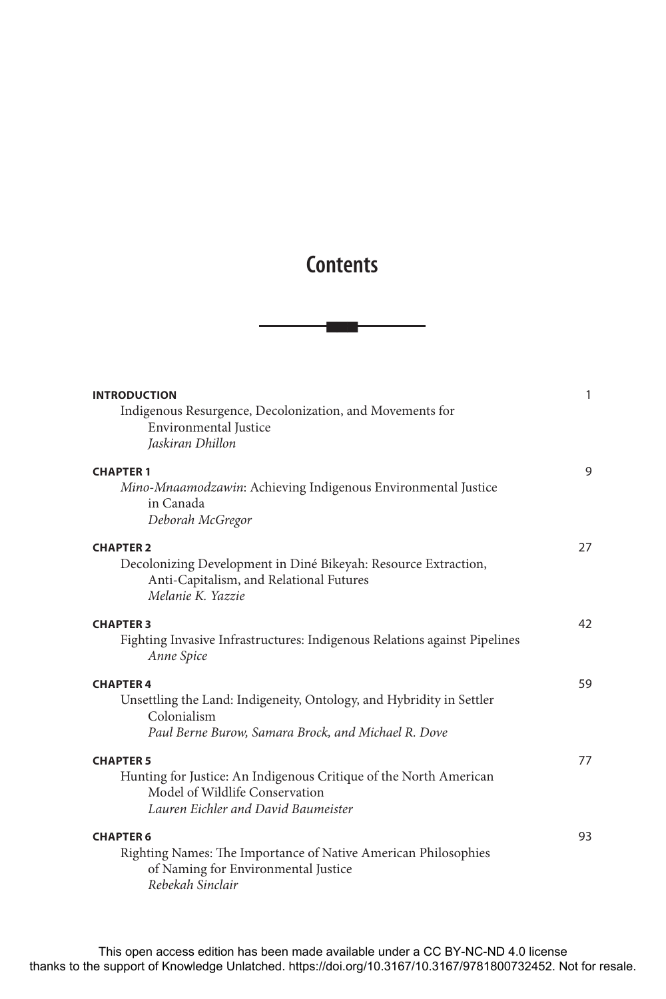## **Contents**

nnn

| <b>INTRODUCTION</b>                                                                                                                                            | 1  |
|----------------------------------------------------------------------------------------------------------------------------------------------------------------|----|
| Indigenous Resurgence, Decolonization, and Movements for<br>Environmental Justice<br>Jaskiran Dhillon                                                          |    |
| <b>CHAPTER 1</b><br>Mino-Mnaamodzawin: Achieving Indigenous Environmental Justice<br>in Canada<br>Deborah McGregor                                             | 9  |
| <b>CHAPTER 2</b><br>Decolonizing Development in Diné Bikeyah: Resource Extraction,<br>Anti-Capitalism, and Relational Futures<br>Melanie K. Yazzie             | 27 |
| <b>CHAPTER 3</b><br>Fighting Invasive Infrastructures: Indigenous Relations against Pipelines<br>Anne Spice                                                    | 42 |
| <b>CHAPTER 4</b><br>Unsettling the Land: Indigeneity, Ontology, and Hybridity in Settler<br>Colonialism<br>Paul Berne Burow, Samara Brock, and Michael R. Dove | 59 |
| <b>CHAPTER 5</b><br>Hunting for Justice: An Indigenous Critique of the North American<br>Model of Wildlife Conservation<br>Lauren Eichler and David Baumeister | 77 |
| <b>CHAPTER 6</b><br>Righting Names: The Importance of Native American Philosophies<br>of Naming for Environmental Justice<br>Rebekah Sinclair                  | 93 |